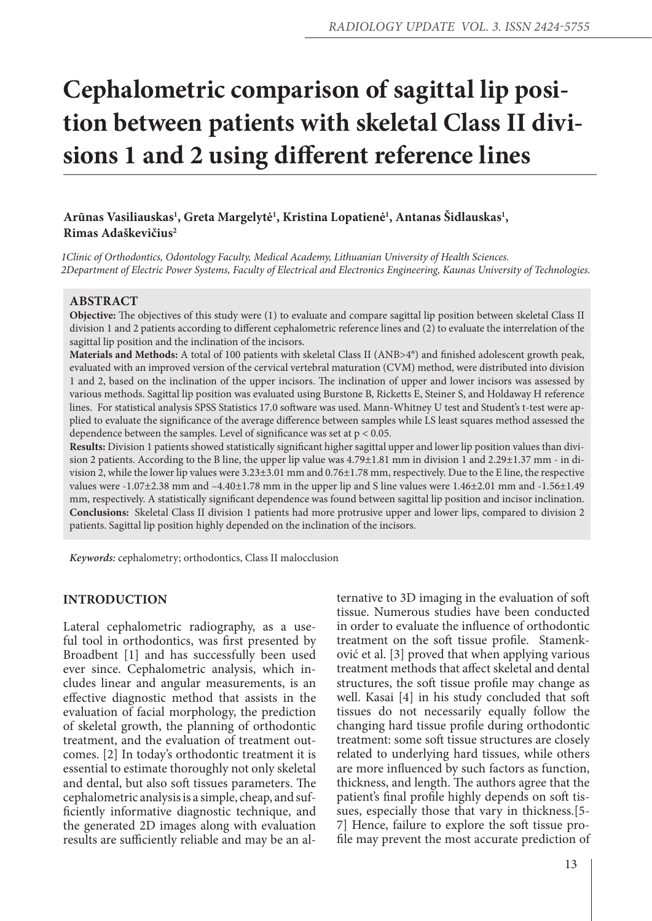# **Cephalometric comparison of sagittal lip position between patients with skeletal Class II divisions 1 and 2 using different reference lines**

# Arūnas Vasiliauskas<sup>ı</sup>, Greta Margelytė<sup>1</sup>, Kristina Lopatienė<sup>1</sup>, Antanas Šidlauskas<sup>1</sup>, **Rimas Adaškevičius2**

*1Clinic of Orthodontics, Odontology Faculty, Medical Academy, Lithuanian University of Health Sciences. 2Department of Electric Power Systems, Faculty of Electrical and Electronics Engineering, Kaunas University of Technologies.*

## **Abstract**

**Objective:** The objectives of this study were (1) to evaluate and compare sagittal lip position between skeletal Class II division 1 and 2 patients according to different cephalometric reference lines and (2) to evaluate the interrelation of the sagittal lip position and the inclination of the incisors.

**Materials and Methods:** A total of 100 patients with skeletal Class II (ANB>4°) and finished adolescent growth peak, evaluated with an improved version of the cervical vertebral maturation (CVM) method, were distributed into division 1 and 2, based on the inclination of the upper incisors. The inclination of upper and lower incisors was assessed by various methods. Sagittal lip position was evaluated using Burstone B, Ricketts E, Steiner S, and Holdaway H reference lines. For statistical analysis SPSS Statistics 17.0 software was used. Mann-Whitney U test and Student's t-test were applied to evaluate the significance of the average difference between samples while LS least squares method assessed the dependence between the samples. Level of significance was set at  $p < 0.05$ .

**Results:** Division 1 patients showed statistically significant higher sagittal upper and lower lip position values than division 2 patients. According to the B line, the upper lip value was 4.79±1.81 mm in division 1 and 2.29±1.37 mm - in division 2, while the lower lip values were 3.23±3.01 mm and 0.76±1.78 mm, respectively. Due to the E line, the respective values were -1.07±2.38 mm and –4.40±1.78 mm in the upper lip and S line values were 1.46±2.01 mm and -1.56±1.49 mm, respectively. A statistically significant dependence was found between sagittal lip position and incisor inclination. **Conclusions:** Skeletal Class II division 1 patients had more protrusive upper and lower lips, compared to division 2 patients. Sagittal lip position highly depended on the inclination of the incisors.

*Keywords:* cephalometry; orthodontics, Class II malocclusion

## **INTRODUCTION**

Lateral cephalometric radiography, as a useful tool in orthodontics, was first presented by Broadbent [1] and has successfully been used ever since. Cephalometric analysis, which includes linear and angular measurements, is an effective diagnostic method that assists in the evaluation of facial morphology, the prediction of skeletal growth, the planning of orthodontic treatment, and the evaluation of treatment outcomes. [2] In today's orthodontic treatment it is essential to estimate thoroughly not only skeletal and dental, but also soft tissues parameters. The cephalometric analysis is a simple, cheap, and sufficiently informative diagnostic technique, and the generated 2D images along with evaluation results are sufficiently reliable and may be an alternative to 3D imaging in the evaluation of soft tissue. Numerous studies have been conducted in order to evaluate the influence of orthodontic treatment on the soft tissue profile. Stamenković et al. [3] proved that when applying various treatment methods that affect skeletal and dental structures, the soft tissue profile may change as well. Kasai [4] in his study concluded that soft tissues do not necessarily equally follow the changing hard tissue profile during orthodontic treatment: some soft tissue structures are closely related to underlying hard tissues, while others are more influenced by such factors as function, thickness, and length. The authors agree that the patient's final profile highly depends on soft tissues, especially those that vary in thickness.[5- 7] Hence, failure to explore the soft tissue profile may prevent the most accurate prediction of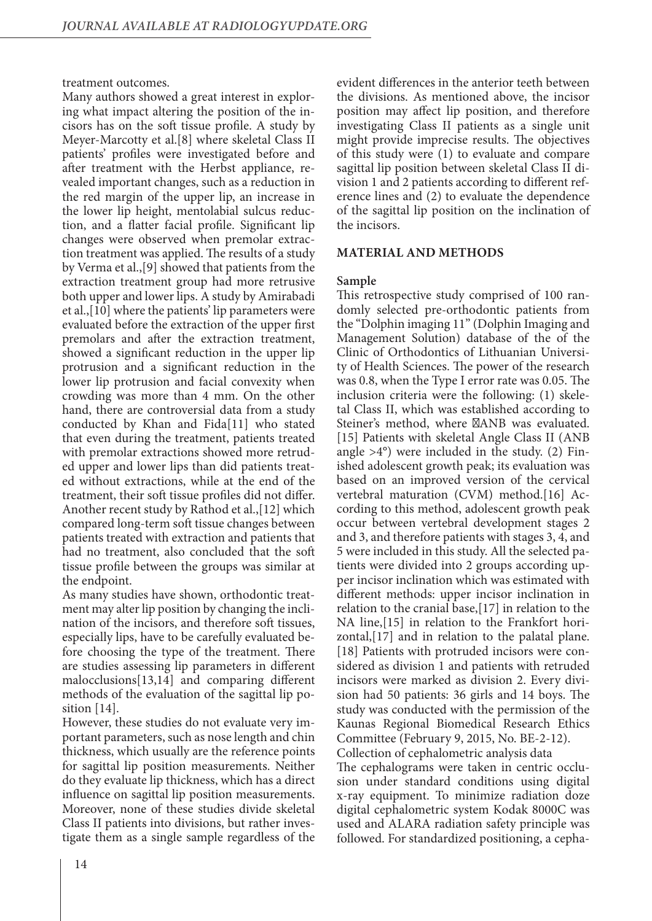treatment outcomes.

Many authors showed a great interest in exploring what impact altering the position of the incisors has on the soft tissue profile. A study by Meyer-Marcotty et al.[8] where skeletal Class II patients' profiles were investigated before and after treatment with the Herbst appliance, revealed important changes, such as a reduction in the red margin of the upper lip, an increase in the lower lip height, mentolabial sulcus reduction, and a flatter facial profile. Significant lip changes were observed when premolar extraction treatment was applied. The results of a study by Verma et al.,[9] showed that patients from the extraction treatment group had more retrusive both upper and lower lips. A study by Amirabadi et al.,[10] where the patients' lip parameters were evaluated before the extraction of the upper first premolars and after the extraction treatment, showed a significant reduction in the upper lip protrusion and a significant reduction in the lower lip protrusion and facial convexity when crowding was more than 4 mm. On the other hand, there are controversial data from a study conducted by Khan and Fida[11] who stated that even during the treatment, patients treated with premolar extractions showed more retruded upper and lower lips than did patients treated without extractions, while at the end of the treatment, their soft tissue profiles did not differ. Another recent study by Rathod et al.,[12] which compared long-term soft tissue changes between patients treated with extraction and patients that had no treatment, also concluded that the soft tissue profile between the groups was similar at the endpoint.

As many studies have shown, orthodontic treatment may alter lip position by changing the inclination of the incisors, and therefore soft tissues, especially lips, have to be carefully evaluated before choosing the type of the treatment. There are studies assessing lip parameters in different malocclusions[13,14] and comparing different methods of the evaluation of the sagittal lip position  $|14|$ .

However, these studies do not evaluate very important parameters, such as nose length and chin thickness, which usually are the reference points for sagittal lip position measurements. Neither do they evaluate lip thickness, which has a direct influence on sagittal lip position measurements. Moreover, none of these studies divide skeletal Class II patients into divisions, but rather investigate them as a single sample regardless of the

evident differences in the anterior teeth between the divisions. As mentioned above, the incisor position may affect lip position, and therefore investigating Class II patients as a single unit might provide imprecise results. The objectives of this study were (1) to evaluate and compare sagittal lip position between skeletal Class II division 1 and 2 patients according to different reference lines and (2) to evaluate the dependence of the sagittal lip position on the inclination of the incisors.

## **MATERIAL AND METHODS**

#### **Sample**

This retrospective study comprised of 100 randomly selected pre-orthodontic patients from the "Dolphin imaging 11" (Dolphin Imaging and Management Solution) database of the of the Clinic of Orthodontics of Lithuanian University of Health Sciences. The power of the research was 0.8, when the Type I error rate was 0.05. The inclusion criteria were the following: (1) skeletal Class II, which was established according to Steiner's method, where ANB was evaluated. [15] Patients with skeletal Angle Class II (ANB angle  $>4^{\circ}$ ) were included in the study. (2) Finished adolescent growth peak; its evaluation was based on an improved version of the cervical vertebral maturation (CVM) method.[16] According to this method, adolescent growth peak occur between vertebral development stages 2 and 3, and therefore patients with stages 3, 4, and 5 were included in this study. All the selected patients were divided into 2 groups according upper incisor inclination which was estimated with different methods: upper incisor inclination in relation to the cranial base,[17] in relation to the NA line,[15] in relation to the Frankfort horizontal,[17] and in relation to the palatal plane. [18] Patients with protruded incisors were considered as division 1 and patients with retruded incisors were marked as division 2. Every division had 50 patients: 36 girls and 14 boys. The study was conducted with the permission of the Kaunas Regional Biomedical Research Ethics Committee (February 9, 2015, No. BE-2-12). Collection of cephalometric analysis data The cephalograms were taken in centric occlusion under standard conditions using digital x-ray equipment. To minimize radiation doze digital cephalometric system Kodak 8000C was used and ALARA radiation safety principle was followed. For standardized positioning, a cepha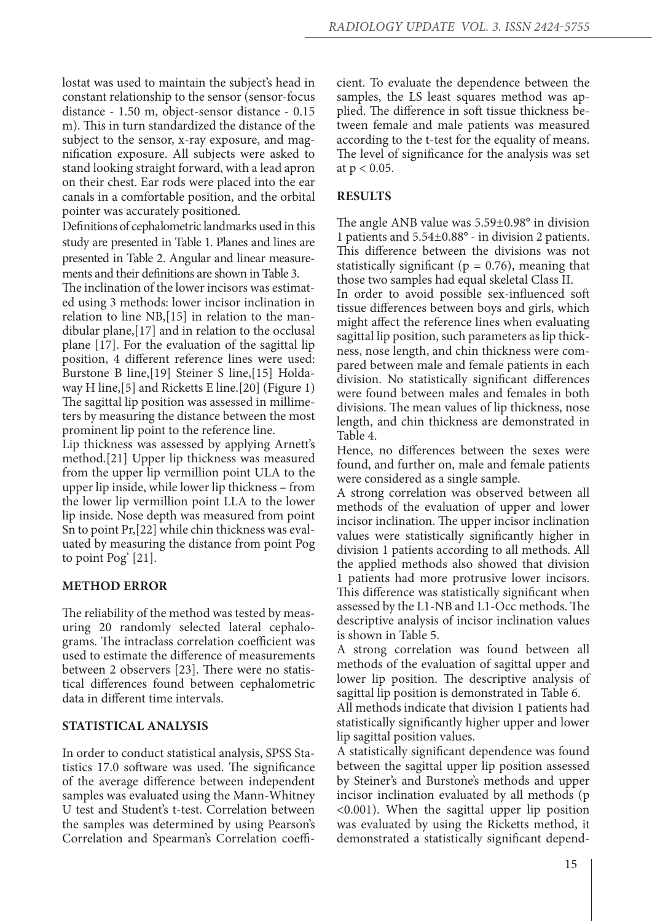lostat was used to maintain the subject's head in constant relationship to the sensor (sensor-focus distance - 1.50 m, object-sensor distance - 0.15 m). This in turn standardized the distance of the subject to the sensor, x-ray exposure, and magnification exposure. All subjects were asked to stand looking straight forward, with a lead apron on their chest. Ear rods were placed into the ear canals in a comfortable position, and the orbital pointer was accurately positioned.

Definitions of cephalometric landmarks used in this study are presented in Table 1. Planes and lines are presented in Table 2. Angular and linear measurements and their definitions are shown in Table 3.

The inclination of the lower incisors was estimated using 3 methods: lower incisor inclination in relation to line NB,[15] in relation to the mandibular plane,[17] and in relation to the occlusal plane [17]. For the evaluation of the sagittal lip position, 4 different reference lines were used: Burstone B line,[19] Steiner S line,[15] Holdaway H line,[5] and Ricketts E line.[20] (Figure 1) The sagittal lip position was assessed in millimeters by measuring the distance between the most prominent lip point to the reference line.

Lip thickness was assessed by applying Arnett's method.[21] Upper lip thickness was measured from the upper lip vermillion point ULA to the upper lip inside, while lower lip thickness – from the lower lip vermillion point LLA to the lower lip inside. Nose depth was measured from point Sn to point Pr,[22] while chin thickness was evaluated by measuring the distance from point Pog to point Pog' [21].

# **METHOD ERROR**

The reliability of the method was tested by measuring 20 randomly selected lateral cephalograms. The intraclass correlation coefficient was used to estimate the difference of measurements between 2 observers [23]. There were no statistical differences found between cephalometric data in different time intervals.

# **STATISTICAL ANALYSIS**

In order to conduct statistical analysis, SPSS Statistics 17.0 software was used. The significance of the average difference between independent samples was evaluated using the Mann-Whitney U test and Student's t-test. Correlation between the samples was determined by using Pearson's Correlation and Spearman's Correlation coefficient. To evaluate the dependence between the samples, the LS least squares method was applied. The difference in soft tissue thickness between female and male patients was measured according to the t-test for the equality of means. The level of significance for the analysis was set at  $p < 0.05$ .

## **RESULTS**

The angle ANB value was 5.59±0.98° in division 1 patients and 5.54±0.88° - in division 2 patients. This difference between the divisions was not statistically significant ( $p = 0.76$ ), meaning that those two samples had equal skeletal Class II.

In order to avoid possible sex-influenced soft tissue differences between boys and girls, which might affect the reference lines when evaluating sagittal lip position, such parameters as lip thickness, nose length, and chin thickness were compared between male and female patients in each division. No statistically significant differences were found between males and females in both divisions. The mean values of lip thickness, nose length, and chin thickness are demonstrated in Table 4.

Hence, no differences between the sexes were found, and further on, male and female patients were considered as a single sample.

A strong correlation was observed between all methods of the evaluation of upper and lower incisor inclination. The upper incisor inclination values were statistically significantly higher in division 1 patients according to all methods. All the applied methods also showed that division 1 patients had more protrusive lower incisors. This difference was statistically significant when assessed by the L1-NB and L1-Occ methods. The descriptive analysis of incisor inclination values is shown in Table 5.

A strong correlation was found between all methods of the evaluation of sagittal upper and lower lip position. The descriptive analysis of sagittal lip position is demonstrated in Table 6.

All methods indicate that division 1 patients had statistically significantly higher upper and lower lip sagittal position values.

A statistically significant dependence was found between the sagittal upper lip position assessed by Steiner's and Burstone's methods and upper incisor inclination evaluated by all methods (p <0.001). When the sagittal upper lip position was evaluated by using the Ricketts method, it demonstrated a statistically significant depend-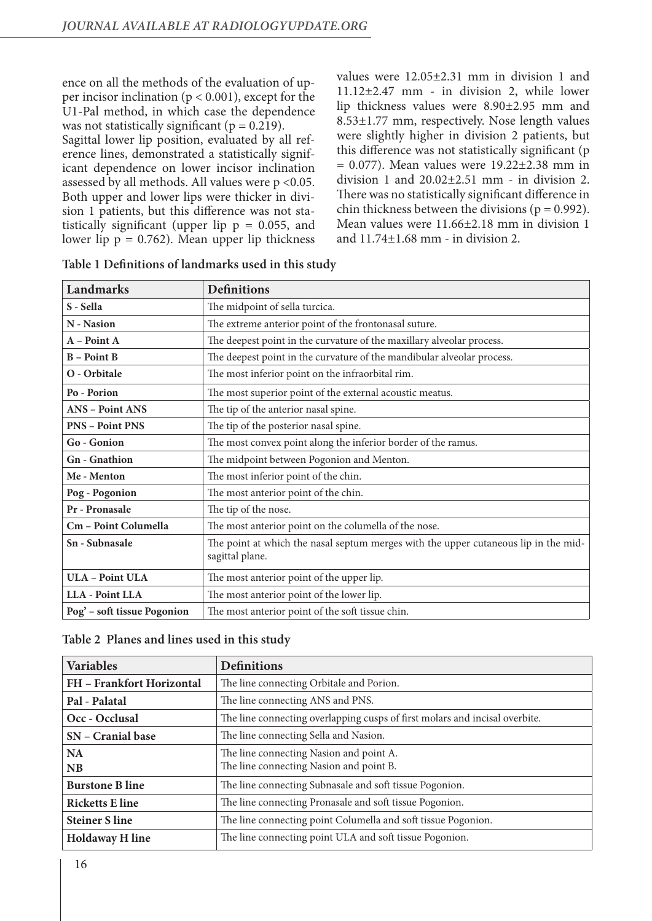ence on all the methods of the evaluation of upper incisor inclination ( $p < 0.001$ ), except for the U1-Pal method, in which case the dependence was not statistically significant ( $p = 0.219$ ). Sagittal lower lip position, evaluated by all reference lines, demonstrated a statistically significant dependence on lower incisor inclination assessed by all methods. All values were p <0.05. Both upper and lower lips were thicker in division 1 patients, but this difference was not statistically significant (upper lip  $p = 0.055$ , and lower lip  $p = 0.762$ ). Mean upper lip thickness

values were 12.05±2.31 mm in division 1 and 11.12±2.47 mm - in division 2, while lower lip thickness values were 8.90±2.95 mm and 8.53±1.77 mm, respectively. Nose length values were slightly higher in division 2 patients, but this difference was not statistically significant (p  $= 0.077$ ). Mean values were  $19.22 \pm 2.38$  mm in division 1 and  $20.02\pm2.51$  mm - in division 2. There was no statistically significant difference in chin thickness between the divisions ( $p = 0.992$ ). Mean values were 11.66±2.18 mm in division 1 and 11.74±1.68 mm - in division 2.

| Landmarks                   | <b>Definitions</b>                                                                                     |
|-----------------------------|--------------------------------------------------------------------------------------------------------|
| S - Sella                   | The midpoint of sella turcica.                                                                         |
| N - Nasion                  | The extreme anterior point of the frontonasal suture.                                                  |
| A - Point A                 | The deepest point in the curvature of the maxillary alveolar process.                                  |
| <b>B</b> – Point <b>B</b>   | The deepest point in the curvature of the mandibular alveolar process.                                 |
| O - Orbitale                | The most inferior point on the infraorbital rim.                                                       |
| Po - Porion                 | The most superior point of the external acoustic meatus.                                               |
| <b>ANS - Point ANS</b>      | The tip of the anterior nasal spine.                                                                   |
| <b>PNS - Point PNS</b>      | The tip of the posterior nasal spine.                                                                  |
| Go - Gonion                 | The most convex point along the inferior border of the ramus.                                          |
| <b>Gn</b> - Gnathion        | The midpoint between Pogonion and Menton.                                                              |
| Me - Menton                 | The most inferior point of the chin.                                                                   |
| Pog - Pogonion              | The most anterior point of the chin.                                                                   |
| Pr - Pronasale              | The tip of the nose.                                                                                   |
| Cm - Point Columella        | The most anterior point on the columella of the nose.                                                  |
| Sn - Subnasale              | The point at which the nasal septum merges with the upper cutaneous lip in the mid-<br>sagittal plane. |
| <b>ULA - Point ULA</b>      | The most anterior point of the upper lip.                                                              |
| <b>LLA - Point LLA</b>      | The most anterior point of the lower lip.                                                              |
| Pog' – soft tissue Pogonion | The most anterior point of the soft tissue chin.                                                       |

|  | Table 1 Definitions of landmarks used in this study |  |  |
|--|-----------------------------------------------------|--|--|
|  |                                                     |  |  |

| <b>Variables</b>          | <b>Definitions</b>                                                                 |
|---------------------------|------------------------------------------------------------------------------------|
| FH - Frankfort Horizontal | The line connecting Orbitale and Porion.                                           |
| Pal - Palatal             | The line connecting ANS and PNS.                                                   |
| Occ - Occlusal            | The line connecting overlapping cusps of first molars and incisal overbite.        |
| SN – Cranial base         | The line connecting Sella and Nasion.                                              |
| <b>NA</b><br><b>NB</b>    | The line connecting Nasion and point A.<br>The line connecting Nasion and point B. |
| <b>Burstone B line</b>    | The line connecting Subnasale and soft tissue Pogonion.                            |
| <b>Ricketts E line</b>    | The line connecting Pronasale and soft tissue Pogonion.                            |
| <b>Steiner S line</b>     | The line connecting point Columella and soft tissue Pogonion.                      |
| <b>Holdaway H line</b>    | The line connecting point ULA and soft tissue Pogonion.                            |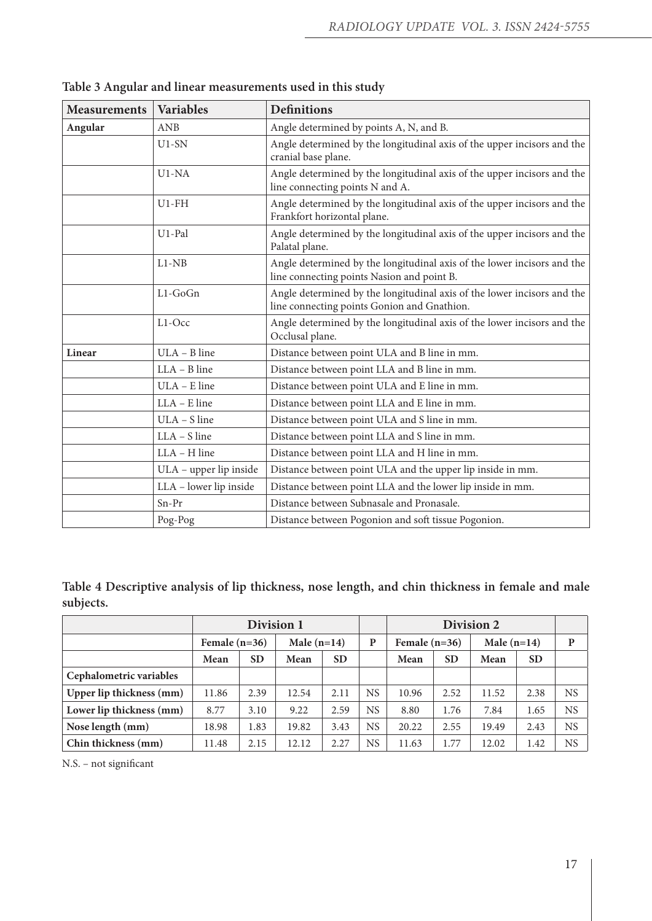| <b>Measurements</b> | <b>Variables</b>                                                                                    | <b>Definitions</b>                                                                                                     |  |  |  |  |  |  |
|---------------------|-----------------------------------------------------------------------------------------------------|------------------------------------------------------------------------------------------------------------------------|--|--|--|--|--|--|
| Angular             | ANB                                                                                                 | Angle determined by points A, N, and B.                                                                                |  |  |  |  |  |  |
|                     | $U1-SN$                                                                                             | Angle determined by the longitudinal axis of the upper incisors and the<br>cranial base plane.                         |  |  |  |  |  |  |
|                     | U1-NA                                                                                               | Angle determined by the longitudinal axis of the upper incisors and the<br>line connecting points N and A.             |  |  |  |  |  |  |
|                     | $U1$ -FH                                                                                            | Angle determined by the longitudinal axis of the upper incisors and the<br>Frankfort horizontal plane.                 |  |  |  |  |  |  |
|                     | U1-Pal<br>Angle determined by the longitudinal axis of the upper incisors and the<br>Palatal plane. |                                                                                                                        |  |  |  |  |  |  |
|                     | $L1-NB$                                                                                             | Angle determined by the longitudinal axis of the lower incisors and the<br>line connecting points Nasion and point B.  |  |  |  |  |  |  |
|                     | $L1-GoGn$                                                                                           | Angle determined by the longitudinal axis of the lower incisors and the<br>line connecting points Gonion and Gnathion. |  |  |  |  |  |  |
|                     | L1-Occ                                                                                              | Angle determined by the longitudinal axis of the lower incisors and the<br>Occlusal plane.                             |  |  |  |  |  |  |
| Linear              | ULA - B line                                                                                        | Distance between point ULA and B line in mm.                                                                           |  |  |  |  |  |  |
|                     | $LLA - B$ line                                                                                      | Distance between point LLA and B line in mm.                                                                           |  |  |  |  |  |  |
|                     | ULA - E line                                                                                        | Distance between point ULA and E line in mm.                                                                           |  |  |  |  |  |  |
|                     | $LLA - E$ line                                                                                      | Distance between point LLA and E line in mm.                                                                           |  |  |  |  |  |  |
|                     | ULA - S line                                                                                        | Distance between point ULA and S line in mm.                                                                           |  |  |  |  |  |  |
|                     | $LLA - S$ line                                                                                      | Distance between point LLA and S line in mm.                                                                           |  |  |  |  |  |  |
|                     | LLA - H line                                                                                        | Distance between point LLA and H line in mm.                                                                           |  |  |  |  |  |  |
|                     | ULA - upper lip inside                                                                              | Distance between point ULA and the upper lip inside in mm.                                                             |  |  |  |  |  |  |
|                     | LLA - lower lip inside                                                                              | Distance between point LLA and the lower lip inside in mm.                                                             |  |  |  |  |  |  |
|                     | Sn-Pr                                                                                               | Distance between Subnasale and Pronasale.                                                                              |  |  |  |  |  |  |
|                     | Pog-Pog<br>Distance between Pogonion and soft tissue Pogonion.                                      |                                                                                                                        |  |  |  |  |  |  |

**Table 3 Angular and linear measurements used in this study**

**Table 4 Descriptive analysis of lip thickness, nose length, and chin thickness in female and male subjects.**

|                          | Division 1        |      |               |           |           | Division 2      |           |               |           |           |
|--------------------------|-------------------|------|---------------|-----------|-----------|-----------------|-----------|---------------|-----------|-----------|
|                          | Female $(n=36)$   |      | Male $(n=14)$ |           | P         | Female $(n=36)$ |           | Male $(n=14)$ |           | P         |
|                          | <b>SD</b><br>Mean |      | Mean          | <b>SD</b> |           | Mean            | <b>SD</b> | Mean          | <b>SD</b> |           |
| Cephalometric variables  |                   |      |               |           |           |                 |           |               |           |           |
| Upper lip thickness (mm) | 11.86             | 2.39 | 12.54         | 2.11      | <b>NS</b> | 10.96           | 2.52      | 11.52         | 2.38      | <b>NS</b> |
| Lower lip thickness (mm) | 8.77              | 3.10 | 9.22          | 2.59      | <b>NS</b> | 8.80            | 1.76      | 7.84          | 1.65      | <b>NS</b> |
| Nose length (mm)         | 18.98             | 1.83 | 19.82         | 3.43      | <b>NS</b> | 20.22           | 2.55      | 19.49         | 2.43      | NS        |
| Chin thickness (mm)      | 2.15<br>11.48     |      | 12.12         | 2.27      | <b>NS</b> | 11.63           | 1.77      | 12.02         | 1.42      | <b>NS</b> |

N.S. – not significant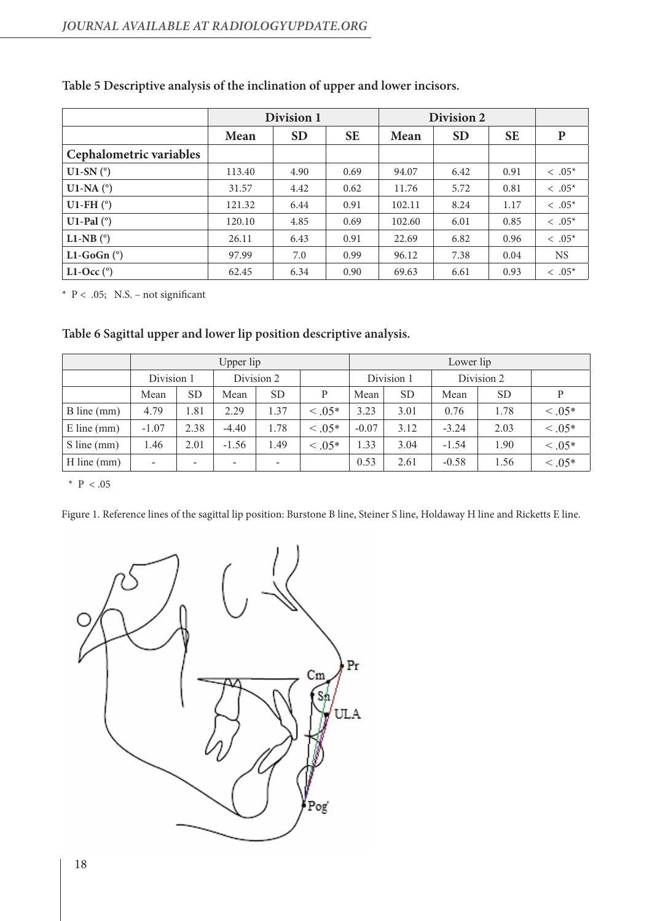|                         |        | Division 1 | Division 2 |        |           |           |                |
|-------------------------|--------|------------|------------|--------|-----------|-----------|----------------|
|                         | Mean   | <b>SD</b>  | <b>SE</b>  | Mean   | <b>SD</b> | <b>SE</b> | P              |
| Cephalometric variables |        |            |            |        |           |           |                |
| U1-SN $(^{\circ})$      | 113.40 | 4.90       | 0.69       | 94.07  | 6.42      | 0.91      | $\leq .05^{*}$ |
| U1-NA $(^\circ)$        | 31.57  | 4.42       | 0.62       | 11.76  | 5.72      | 0.81      | $\leq .05^{*}$ |
| U1-FH $(°)$             | 121.32 | 6.44       | 0.91       | 102.11 | 8.24      | 1.17      | $\leq .05^{*}$ |
| U1-Pal $(°)$            | 120.10 | 4.85       | 0.69       | 102.60 | 6.01      | 0.85      | $\leq .05^{*}$ |
| L1-NB $(^\circ)$        | 26.11  | 6.43       | 0.91       | 22.69  | 6.82      | 0.96      | $< .05*$       |
| L1-GoGn $(°)$           | 97.99  | 7.0        | 0.99       | 96.12  | 7.38      | 0.04      | <b>NS</b>      |
| L1-Occ $(^\circ)$       | 62.45  | 6.34       | 0.90       | 69.63  | 6.61      | 0.93      | $\leq .05^{*}$ |

# **Table 5 Descriptive analysis of the inclination of upper and lower incisors.**

 $*$  P < .05; N.S. – not significant

# **Table 6 Sagittal upper and lower lip position descriptive analysis.**

|               | Upper lip  |                          |            |           |             | Lower lip  |           |            |           |           |
|---------------|------------|--------------------------|------------|-----------|-------------|------------|-----------|------------|-----------|-----------|
|               | Division 1 |                          | Division 2 |           |             | Division 1 |           | Division 2 |           |           |
|               | Mean       | <b>SD</b>                | Mean       | <b>SD</b> | P           | Mean       | <b>SD</b> | Mean       | <b>SD</b> | P         |
| B line (mm)   | 4.79       | 1.81                     | 2.29       | 1.37      | $0.05*$     | 3.23       | 3.01      | 0.76       | 1.78      | $0.05*$   |
| $E$ line (mm) | $-1.07$    | 2.38                     | $-4.40$    | 1.78      | $\leq .05*$ | $-0.07$    | 3.12      | $-3.24$    | 2.03      | $0.05*$   |
| $S$ line (mm) | 1.46       | 2.01                     | $-1.56$    | 1.49      | $0.05*$     | .33        | 3.04      | $-1.54$    | 1.90      | $< 0.05*$ |
| $H$ line (mm) | -          | $\overline{\phantom{0}}$ | ۰          | -         |             | 0.53       | 2.61      | $-0.58$    | 1.56      | $< 0.05*$ |

\*  $P < .05$ 

Figure 1. Reference lines of the sagittal lip position: Burstone B line, Steiner S line, Holdaway H line and Ricketts E line.

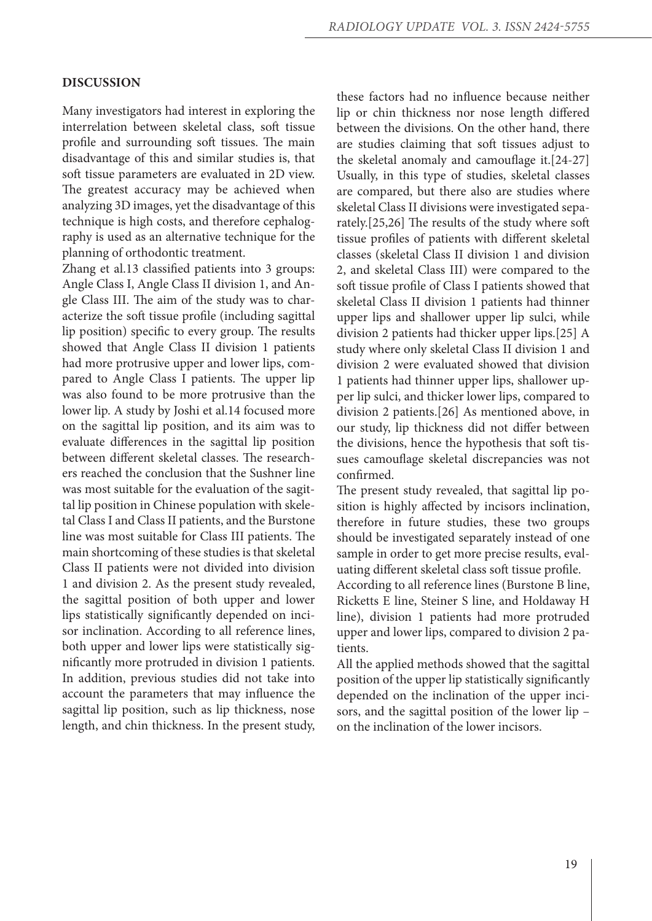## **DISCUSSION**

Many investigators had interest in exploring the interrelation between skeletal class, soft tissue profile and surrounding soft tissues. The main disadvantage of this and similar studies is, that soft tissue parameters are evaluated in 2D view. The greatest accuracy may be achieved when analyzing 3D images, yet the disadvantage of this technique is high costs, and therefore cephalography is used as an alternative technique for the planning of orthodontic treatment.

Zhang et al.13 classified patients into 3 groups: Angle Class I, Angle Class II division 1, and Angle Class III. The aim of the study was to characterize the soft tissue profile (including sagittal lip position) specific to every group. The results showed that Angle Class II division 1 patients had more protrusive upper and lower lips, compared to Angle Class I patients. The upper lip was also found to be more protrusive than the lower lip. A study by Joshi et al.14 focused more on the sagittal lip position, and its aim was to evaluate differences in the sagittal lip position between different skeletal classes. The researchers reached the conclusion that the Sushner line was most suitable for the evaluation of the sagittal lip position in Chinese population with skeletal Class I and Class II patients, and the Burstone line was most suitable for Class III patients. The main shortcoming of these studies is that skeletal Class II patients were not divided into division 1 and division 2. As the present study revealed, the sagittal position of both upper and lower lips statistically significantly depended on incisor inclination. According to all reference lines, both upper and lower lips were statistically significantly more protruded in division 1 patients. In addition, previous studies did not take into account the parameters that may influence the sagittal lip position, such as lip thickness, nose length, and chin thickness. In the present study, these factors had no influence because neither lip or chin thickness nor nose length differed between the divisions. On the other hand, there are studies claiming that soft tissues adjust to the skeletal anomaly and camouflage it.[24-27] Usually, in this type of studies, skeletal classes are compared, but there also are studies where skeletal Class II divisions were investigated separately.[25,26] The results of the study where soft tissue profiles of patients with different skeletal classes (skeletal Class II division 1 and division 2, and skeletal Class III) were compared to the soft tissue profile of Class I patients showed that skeletal Class II division 1 patients had thinner upper lips and shallower upper lip sulci, while division 2 patients had thicker upper lips.[25] A study where only skeletal Class II division 1 and division 2 were evaluated showed that division 1 patients had thinner upper lips, shallower upper lip sulci, and thicker lower lips, compared to division 2 patients.[26] As mentioned above, in our study, lip thickness did not differ between the divisions, hence the hypothesis that soft tissues camouflage skeletal discrepancies was not confirmed.

The present study revealed, that sagittal lip position is highly affected by incisors inclination, therefore in future studies, these two groups should be investigated separately instead of one sample in order to get more precise results, evaluating different skeletal class soft tissue profile.

According to all reference lines (Burstone B line, Ricketts E line, Steiner S line, and Holdaway H line), division 1 patients had more protruded upper and lower lips, compared to division 2 patients.

All the applied methods showed that the sagittal position of the upper lip statistically significantly depended on the inclination of the upper incisors, and the sagittal position of the lower lip – on the inclination of the lower incisors.